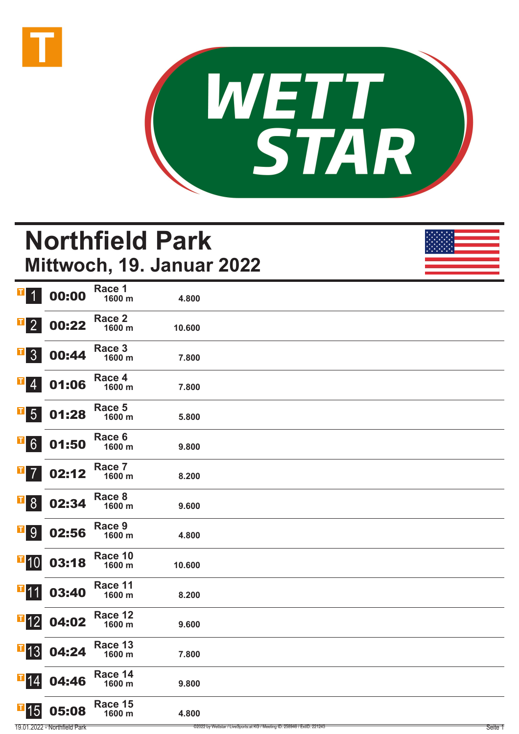



# **Northfield Park Mittwoch, 19. Januar 2022**

| $\mathbf{T}$<br>$\overline{1}$   | 00:00 | Race 1<br>1600 m  | 4.800  |  |
|----------------------------------|-------|-------------------|--------|--|
| T <br>$\overline{2}$             | 00:22 | Race 2<br>1600 m  | 10.600 |  |
| $\mathbf{T}$<br>3                | 00:44 | Race 3<br>1600 m  | 7.800  |  |
| П<br>$\overline{4}$              | 01:06 | Race 4<br>1600 m  | 7.800  |  |
| I<br>$5\overline{)}$             | 01:28 | Race 5<br>1600 m  | 5.800  |  |
| $\mathbf{T}$<br>$6 \overline{6}$ | 01:50 | Race 6<br>1600 m  | 9.800  |  |
| П<br>$\overline{7}$              | 02:12 | Race 7<br>1600 m  | 8.200  |  |
| $\mathbf{T}$<br>8 <sup>°</sup>   | 02:34 | Race 8<br>1600 m  | 9.600  |  |
| I<br>9                           | 02:56 | Race 9<br>1600 m  | 4.800  |  |
| $\blacksquare$ 10                | 03:18 | Race 10<br>1600 m | 10.600 |  |
| $\blacksquare$ 11                | 03:40 | Race 11<br>1600 m | 8.200  |  |
| $\blacksquare$ 12                | 04:02 | Race 12<br>1600 m | 9.600  |  |
| $\overline{1}$ 13                | 04:24 | Race 13<br>1600 m | 7.800  |  |
| $\blacksquare$ 14                | 04:46 | Race 14<br>1600 m | 9.800  |  |
| $\blacksquare$ 15                | 05:08 | Race 15<br>1600 m | 4.800  |  |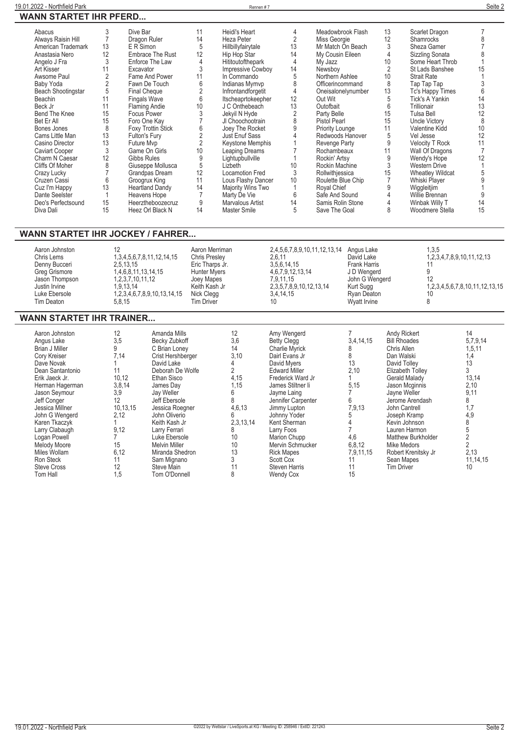| Abacus                    |    | Dive Bar                | 11 | Heidi's Heart          | 4  | Meadowbrook Flash   | 13 | Scarlet Dragon          |    |
|---------------------------|----|-------------------------|----|------------------------|----|---------------------|----|-------------------------|----|
| Always Raisin Hill        |    | Dragon Ruler            | 14 | Heza Peter             | 2  | Miss Georgie        | 12 | <b>Shamrocks</b>        |    |
| American Trademark        | 13 | E R Simon               | 5  | Hillbillyfairytale     | 13 | Mr Match On Beach   |    | Sheza Gamer             |    |
| Anastasia Nero            | 12 | <b>Embrace The Rust</b> | 12 | Hip Hop Star           | 14 | My Cousin Eileen    |    | Sizzling Sonata         |    |
| Angelo J Fra              |    | Enforce The Law         |    | Hititoutofthepark      |    | My Jazz             | 10 | Some Heart Throb        |    |
| Art Kisser                | 11 | Excavator               |    | Impressive Cowboy      | 14 | Newsboy             |    | St Lads Banshee         | 15 |
| Awsome Paul               |    | Fame And Power          | 11 | In Commando            |    | Northern Ashlee     | 10 | <b>Strait Rate</b>      |    |
| Baby Yoda                 |    | Fawn De Touch           | 6  | Indianas Mymvp         |    | Officerincommand    | 8  | Tap Tap Tap             |    |
| <b>Beach Shootingstar</b> | 5  | Final Cheque            |    | Infrontandforgetit     | 4  | Oneisalonelynumber  | 13 | Tc's Happy Times        | 6  |
| Beachin                   | 11 | <b>Fingals Wave</b>     | 6  | Itscheaprtokeepher     | 12 | Out Wit             | 5  | Tick's A Yankin         | 14 |
| Beck Jr                   | 11 | <b>Flaming Andie</b>    | 10 | J C Onthebeach         | 13 | Outofbait           | 6  | Trillionair             | 13 |
| Bend The Knee             | 15 | <b>Focus Power</b>      |    | Jekyil N Hyde          |    | Party Belle         | 15 | Tulsa Bell              | 12 |
| Bet Er All                | 15 | Foro One Kay            |    | JI Choochootrain       |    | <b>Pistol Pearl</b> | 15 | Uncle Victory           | 8  |
| Bones Jones               | 8  | Foxy Trottin Stick      |    | Joey The Rocket        |    | Priority Lounge     | 11 | Valentine Kidd          | 10 |
| Cams Little Man           | 13 | Fulton's Fury           |    | Just Enuf Sass         |    | Redwoods Hanover    | 5  | Vel Jesse               | 12 |
| Casino Director           | 13 | Future Mvp              |    | Keystone Memphis       |    | Revenge Party       | 9  | <b>Velocity T Rock</b>  |    |
| <b>Caviart Cooper</b>     |    | Game On Girls           | 10 | Leaping Dreams         |    | Rochambeaux         | 11 | Wall Of Dragons         |    |
| Charm N Caesar            | 12 | Gibbs Rules             |    | Lightupbullville       |    | Rockin' Artsy       | 9  | Wendy's Hope            | 12 |
| Cliffs Of Moher           |    | Giuseppe Mollusca       | 5  | Lizbeth                | 10 | Rockin Machine      | 3  | <b>Western Drive</b>    |    |
| Crazy Lucky               |    | Grandpas Dream          | 12 | <b>Locamotion Fred</b> |    | Rollwithjessica     | 15 | <b>Wheatley Wildcat</b> |    |
| Cruzen Cassi              |    | Groogrux King           | 11 | Lous Flashy Dancer     | 10 | Roulette Blue Chip  |    | Whiski Player           |    |
| Cuz I'm Happy             | 13 | <b>Heartland Dandy</b>  | 14 | Majority Wins Two      |    | Royal Chief         |    | Wiggleitjim             |    |
| Dante Seelster            |    | Heavens Hope            |    | Marty De Vie           | 6  | Safe And Sound      |    | Willie Brennan          |    |
| Deo's Perfectsound        | 15 | Heerztheboozecruz       |    | Marvalous Artist       | 14 | Samis Rolin Stone   |    | Winbak Willy T          | 14 |
| Diva Dali                 | 15 | Heez Orl Black N        | 14 | Master Smile           |    | Save The Goal       |    | Woodmere Stella         | 15 |

### **WANN STARTET IHR JOCKEY / FAHRER...**

| Aaron Johnston<br>Chris Lems<br>Denny Bucceri<br>Greg Grismore<br>Jason Thompson<br>Justin Irvine<br>Luke Ebersole | 12<br>1, 3, 4, 5, 6, 7, 8, 11, 12, 14, 15<br>2.5.13.15<br>1,4,6,8,11,13,14,15<br>1, 2, 3, 7, 10, 11, 12<br>1.9.13.14<br>1, 2, 3, 4, 6, 7, 8, 9, 10, 13, 14, 15 | Aaron Merriman<br><b>Chris Preslev</b><br>Eric Tharps Jr.<br><b>Hunter Myers</b><br>Joey Mapes<br>Keith Kash Jr<br>Nick Clegg | 2,4,5,6,7,8,9,10,11,12,13,14 Angus Lake<br>2.6.11<br>3,5,6,14,15<br>4,6,7,9,12,13,14<br>7.9.11.15<br>2,3,5,7,8,9,10,12,13,14<br>3.4.14.15 | David Lake<br><b>Frank Harris</b><br>J D Wengerd<br>John G Wengerd<br>Kurt Sugg<br>Ryan Deaton | 1,3,5<br>1,2,3,4,7,8,9,10,11,12,13<br>12<br>1,2,3,4,5,6,7,8,10,11,12,13,15 |
|--------------------------------------------------------------------------------------------------------------------|----------------------------------------------------------------------------------------------------------------------------------------------------------------|-------------------------------------------------------------------------------------------------------------------------------|-------------------------------------------------------------------------------------------------------------------------------------------|------------------------------------------------------------------------------------------------|----------------------------------------------------------------------------|
| Tim Deaton                                                                                                         | 5.8.15                                                                                                                                                         | <b>Tim Driver</b>                                                                                                             | 10                                                                                                                                        | Wyatt Irvine                                                                                   |                                                                            |

### **WANN STARTET IHR TRAINER...**

| Aaron Johnston<br>Angus Lake<br><b>Brian J Miller</b><br>Cory Kreiser<br>Dave Novak<br>Dean Santantonio<br>Erik Jaeck Jr.<br>Herman Hagerman<br>Jason Sevmour<br>Jeff Conger<br>Jessica Millner<br>John G Wengerd<br>Karen Tkaczyk<br>Larry Clabaugh<br>Logan Powell<br>Melody Moore<br>Miles Wollam<br>Ron Steck<br><b>Steve Cross</b><br>Tom Hall | 12<br>3,5<br>7,14<br>11<br>10.12<br>3,8,14<br>3,9<br>12<br>10.13.15<br>2.12<br>9.12<br>15<br>6,12<br>11<br>12<br>1,5 | Amanda Mills<br>Becky Zubkoff<br>C Brian Lonev<br>Crist Hershberger<br>David Lake<br>Deborah De Wolfe<br>Ethan Sisco<br>James Day<br>Jay Weller<br>Jeff Ebersole<br>Jessica Roegner<br>John Oliverio<br>Keith Kash Jr<br>Larry Ferrari<br>Luke Ebersole<br><b>Melvin Miller</b><br>Miranda Shedron<br>Sam Mignano<br>Steve Main<br>Tom O'Donnell | 12<br>3,6<br>14<br>3,10<br>4,15<br>1.15<br>4,6,13<br>2,3,13,14<br>8<br>10<br>10<br>13<br>8 | Amy Wengerd<br><b>Betty Clegg</b><br><b>Charlie Myrick</b><br>Dairl Evans Jr<br>David Myers<br><b>Edward Miller</b><br>Frederick Ward Jr<br>James Stiltner li<br>Jayme Laing<br>Jennifer Carpenter<br>Jimmy Lupton<br>Johnny Yoder<br>Kent Sherman<br>Larry Foos<br>Marion Chupp<br>Mervin Schmucker<br><b>Rick Mapes</b><br>Scott Cox<br>Steven Harris<br><b>Wendy Cox</b> | 3,4,14,15<br>13<br>2,10<br>5,15<br>7,9,13<br>4,6<br>6,8,12<br>7,9,11,15<br>11<br>15 | Andy Rickert<br><b>Bill Rhoades</b><br>Chris Allen<br>Dan Walski<br>David Tolley<br>Elizabeth Tolley<br>Gerald Malady<br>Jason Mcginnis<br>Jayne Weller<br>Jerome Arendash<br>John Cantrell<br>Joseph Kramp<br>Kevin Johnson<br>Lauren Harmon<br>Matthew Burkholder<br>Mike Medors<br>Robert Krenitsky Jr<br>Sean Mapes<br><b>Tim Driver</b> | 14<br>5,7,9,14<br>1,5,11<br>1,4<br>13<br>13,14<br>2,10<br>9,11<br>8<br>1,7<br>4,9<br>8<br>2,13<br>11,14,15<br>10 |
|-----------------------------------------------------------------------------------------------------------------------------------------------------------------------------------------------------------------------------------------------------------------------------------------------------------------------------------------------------|----------------------------------------------------------------------------------------------------------------------|--------------------------------------------------------------------------------------------------------------------------------------------------------------------------------------------------------------------------------------------------------------------------------------------------------------------------------------------------|--------------------------------------------------------------------------------------------|-----------------------------------------------------------------------------------------------------------------------------------------------------------------------------------------------------------------------------------------------------------------------------------------------------------------------------------------------------------------------------|-------------------------------------------------------------------------------------|----------------------------------------------------------------------------------------------------------------------------------------------------------------------------------------------------------------------------------------------------------------------------------------------------------------------------------------------|------------------------------------------------------------------------------------------------------------------|
|-----------------------------------------------------------------------------------------------------------------------------------------------------------------------------------------------------------------------------------------------------------------------------------------------------------------------------------------------------|----------------------------------------------------------------------------------------------------------------------|--------------------------------------------------------------------------------------------------------------------------------------------------------------------------------------------------------------------------------------------------------------------------------------------------------------------------------------------------|--------------------------------------------------------------------------------------------|-----------------------------------------------------------------------------------------------------------------------------------------------------------------------------------------------------------------------------------------------------------------------------------------------------------------------------------------------------------------------------|-------------------------------------------------------------------------------------|----------------------------------------------------------------------------------------------------------------------------------------------------------------------------------------------------------------------------------------------------------------------------------------------------------------------------------------------|------------------------------------------------------------------------------------------------------------------|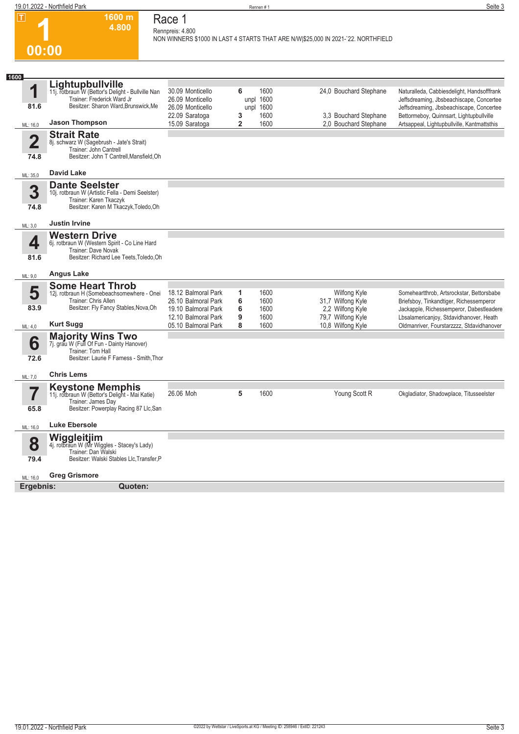| 19.01.2022 - Northfield Park |                 | Rennen#1                                                                                                                   | Seite 3 |
|------------------------------|-----------------|----------------------------------------------------------------------------------------------------------------------------|---------|
|                              | 1600 m<br>4.800 | Race <sup>-</sup><br>Rennpreis: 4.800<br>NON WINNERS \$1000 IN LAST 4 STARTS THAT ARE N/W \$25,000 IN 2021-`22. NORTHFIELD |         |
| 00:00                        |                 |                                                                                                                            |         |

| 1600                    | Lightupbullville                                                     |                                            |                   |              |                                                |                                                                                         |
|-------------------------|----------------------------------------------------------------------|--------------------------------------------|-------------------|--------------|------------------------------------------------|-----------------------------------------------------------------------------------------|
| 1                       | 11j. rotbraun W (Bettor's Delight - Bullville Nan                    | 30.09 Monticello                           | 6                 | 1600         | 24,0 Bouchard Stephane                         | Naturalleda, Cabbiesdelight, Handsofffrank                                              |
|                         | Trainer: Frederick Ward Jr                                           | 26.09 Monticello                           |                   | unpl 1600    |                                                | Jeffsdreaming, Jbsbeachiscape, Concertee                                                |
| 81.6                    | Besitzer: Sharon Ward, Brunswick, Me                                 | 26.09 Monticello                           |                   | unpl 1600    |                                                | Jeffsdreaming, Jbsbeachiscape, Concertee                                                |
| ML: 16,0                | <b>Jason Thompson</b>                                                | 22.09 Saratoga<br>15.09 Saratoga           | 3<br>$\mathbf{2}$ | 1600<br>1600 | 3.3 Bouchard Stephane<br>2.0 Bouchard Stephane | Bettormeboy, Quinnsart, Lightupbullville<br>Artsappeal, Lightupbullville, Kantmattsthis |
|                         | <b>Strait Rate</b>                                                   |                                            |                   |              |                                                |                                                                                         |
| $\overline{\mathbf{2}}$ | 8j. schwarz W (Sagebrush - Jate's Strait)                            |                                            |                   |              |                                                |                                                                                         |
|                         | Trainer: John Cantrell                                               |                                            |                   |              |                                                |                                                                                         |
| 74.8                    | Besitzer: John T Cantrell, Mansfield, Oh                             |                                            |                   |              |                                                |                                                                                         |
|                         | <b>David Lake</b>                                                    |                                            |                   |              |                                                |                                                                                         |
| ML: 35,0                | <b>Dante Seelster</b>                                                |                                            |                   |              |                                                |                                                                                         |
| 3                       | 10j. rotbraun W (Artistic Fella - Demi Seelster)                     |                                            |                   |              |                                                |                                                                                         |
|                         | Trainer: Karen Tkaczyk                                               |                                            |                   |              |                                                |                                                                                         |
| 74.8                    | Besitzer: Karen M Tkaczyk, Toledo, Oh                                |                                            |                   |              |                                                |                                                                                         |
| ML: 3.0                 | <b>Justin Irvine</b>                                                 |                                            |                   |              |                                                |                                                                                         |
|                         | <b>Western Drive</b>                                                 |                                            |                   |              |                                                |                                                                                         |
| 4                       | 6j. rotbraun W (Western Spirit - Co Line Hard                        |                                            |                   |              |                                                |                                                                                         |
|                         | Trainer: Dave Novak                                                  |                                            |                   |              |                                                |                                                                                         |
| 81.6                    | Besitzer: Richard Lee Teets, Toledo, Oh                              |                                            |                   |              |                                                |                                                                                         |
| ML: 9,0                 | <b>Angus Lake</b>                                                    |                                            |                   |              |                                                |                                                                                         |
|                         | <b>Some Heart Throb</b>                                              |                                            |                   |              |                                                |                                                                                         |
| 5                       | 12j. rotbraun H (Somebeachsomewhere - Onei                           | 18.12 Balmoral Park                        | 1                 | 1600         | Wilfong Kyle                                   | Someheartthrob, Artsrockstar, Bettorsbabe                                               |
| 83.9                    | Trainer: Chris Allen<br>Besitzer: Fly Fancy Stables, Nova, Oh        | 26.10 Balmoral Park<br>19.10 Balmoral Park | 6<br>6            | 1600<br>1600 | 31,7 Wilfong Kyle                              | Briefsboy, Tinkandtiger, Richessemperor                                                 |
|                         |                                                                      | 12.10 Balmoral Park                        | 9                 | 1600         | 2,2 Wilfong Kyle<br>79,7 Wilfong Kyle          | Jackapple, Richessemperor, Dabestleadere<br>Lbsalamericanjoy, Stdavidhanover, Heath     |
| ML: 4,0                 | <b>Kurt Sugg</b>                                                     | 05.10 Balmoral Park                        | 8                 | 1600         | 10,8 Wilfong Kyle                              | Oldmanriver, Fourstarzzzz, Stdavidhanover                                               |
|                         |                                                                      |                                            |                   |              |                                                |                                                                                         |
| 6                       | Majority Wins Two<br>7j. grau W (Full Of Fun - Dainty Hanover)       |                                            |                   |              |                                                |                                                                                         |
| 72.6                    | Trainer: Tom Hall<br>Besitzer: Laurie F Farness - Smith, Thor        |                                            |                   |              |                                                |                                                                                         |
|                         |                                                                      |                                            |                   |              |                                                |                                                                                         |
| ML: 7,0                 | <b>Chris Lems</b>                                                    |                                            |                   |              |                                                |                                                                                         |
|                         | <b>Keystone Memphis</b>                                              |                                            |                   |              |                                                |                                                                                         |
| 7                       | 11j. rotbraun W (Bettor's Delight - Mai Katie)<br>Trainer: James Day | 26.06 Moh                                  | 5                 | 1600         | Young Scott R                                  | Okgladiator, Shadowplace, Titusseelster                                                 |
| 65.8                    | Besitzer: Powerplay Racing 87 Llc, San                               |                                            |                   |              |                                                |                                                                                         |
|                         |                                                                      |                                            |                   |              |                                                |                                                                                         |
| ML: 16,0                | <b>Luke Ebersole</b>                                                 |                                            |                   |              |                                                |                                                                                         |
|                         | Wiggleitjim                                                          |                                            |                   |              |                                                |                                                                                         |
| 8                       | 4j. rotbraun W (Mr Wiggles - Stacey's Lady)<br>Trainer: Dan Walski   |                                            |                   |              |                                                |                                                                                         |
| 79.4                    | Besitzer: Walski Stables Llc, Transfer, P                            |                                            |                   |              |                                                |                                                                                         |
|                         |                                                                      |                                            |                   |              |                                                |                                                                                         |
| ML: 16,0                | <b>Greg Grismore</b>                                                 |                                            |                   |              |                                                |                                                                                         |
| Ergebnis:               | Quoten:                                                              |                                            |                   |              |                                                |                                                                                         |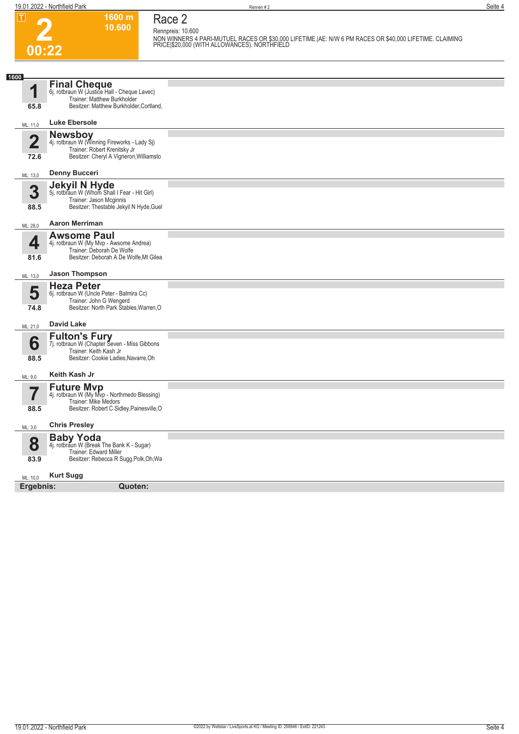**00:22**

## **Race 2**

**Rennpreis: 10.600**

**1600 m 10.600** 

**NON WINNERS 4 PARI-MUTUEL RACES OR \$30,000 LIFETIME.|AE: N/W 6 PM RACES OR \$40,000 LIFETIME. CLAIMING PRICE|\$20,000 (WITH ALLOWANCES). NORTHFIELD** 

| <b>Final Cheque</b><br>1<br>6j. rotbraun W (Justice Hall - Cheque Lavec)<br>Trainer: Matthew Burkholder<br>Besitzer: Matthew Burkholder, Cortland,<br>65.8<br><b>Luke Ebersole</b><br>ML: 11,0<br><b>Newsboy</b><br>$\overline{\mathbf{2}}$<br>4j. rotbraun W (Winning Fireworks - Lady Sj)<br>Trainer: Robert Krenitsky Jr<br>Besitzer: Cheryl A Vigneron, Williamsto<br>72.6<br><b>Denny Bucceri</b><br>ML: 13,0<br><b>Jekyil N Hyde</b><br>3<br>5j. rotbraun W (Whom Shall I Fear - Hit Girl)<br>Trainer: Jason Mcginnis<br>Besitzer: Thestable Jekyil N Hyde, Guel<br>88.5<br><b>Aaron Merriman</b><br>ML: 28,0<br><b>Awsome Paul</b><br>4<br>4j. rotbraun W (My Mvp - Awsome Andrea)<br>Trainer: Deborah De Wolfe<br>Besitzer: Deborah A De Wolfe, Mt Gilea<br>81.6<br><b>Jason Thompson</b><br>ML: 13,0<br><b>Heza Peter</b><br>5<br>6j. rotbraun W (Uncle Peter - Balmira Cc)<br>Trainer: John G Wengerd<br>Besitzer: North Park Stables, Warren, O<br>74.8<br><b>David Lake</b><br>ML: 21,0<br><b>Fulton's Fury</b><br>6<br>7j. rotbraun W (Chapter Seven - Miss Gibbons<br>Trainer: Keith Kash Jr<br>Besitzer: Cookie Ladies, Navarre, Oh<br>88.5<br>Keith Kash Jr<br>ML: 9,0<br><b>Future Mvp</b><br>4j. rotbraun W (My Mvp - Northmedo Blessing)<br>Trainer: Mike Medors<br>Besitzer: Robert C Sidley, Painesville, O<br>88.5<br><b>Chris Presley</b><br>ML: 3,0<br><b>Baby Yoda</b><br>8<br>4j. rotbraun W (Break The Bank K - Sugar)<br>Trainer: Edward Miller<br>Besitzer: Rebecca R Sugg, Polk, Oh; Wa<br>83.9<br><b>Kurt Sugg</b><br>ML: 10,0<br>Ergebnis:<br>Quoten: |      |  |
|---------------------------------------------------------------------------------------------------------------------------------------------------------------------------------------------------------------------------------------------------------------------------------------------------------------------------------------------------------------------------------------------------------------------------------------------------------------------------------------------------------------------------------------------------------------------------------------------------------------------------------------------------------------------------------------------------------------------------------------------------------------------------------------------------------------------------------------------------------------------------------------------------------------------------------------------------------------------------------------------------------------------------------------------------------------------------------------------------------------------------------------------------------------------------------------------------------------------------------------------------------------------------------------------------------------------------------------------------------------------------------------------------------------------------------------------------------------------------------------------------------------------------------------------------------------------------------------|------|--|
|                                                                                                                                                                                                                                                                                                                                                                                                                                                                                                                                                                                                                                                                                                                                                                                                                                                                                                                                                                                                                                                                                                                                                                                                                                                                                                                                                                                                                                                                                                                                                                                       | 1600 |  |
|                                                                                                                                                                                                                                                                                                                                                                                                                                                                                                                                                                                                                                                                                                                                                                                                                                                                                                                                                                                                                                                                                                                                                                                                                                                                                                                                                                                                                                                                                                                                                                                       |      |  |
|                                                                                                                                                                                                                                                                                                                                                                                                                                                                                                                                                                                                                                                                                                                                                                                                                                                                                                                                                                                                                                                                                                                                                                                                                                                                                                                                                                                                                                                                                                                                                                                       |      |  |
|                                                                                                                                                                                                                                                                                                                                                                                                                                                                                                                                                                                                                                                                                                                                                                                                                                                                                                                                                                                                                                                                                                                                                                                                                                                                                                                                                                                                                                                                                                                                                                                       |      |  |
|                                                                                                                                                                                                                                                                                                                                                                                                                                                                                                                                                                                                                                                                                                                                                                                                                                                                                                                                                                                                                                                                                                                                                                                                                                                                                                                                                                                                                                                                                                                                                                                       |      |  |
|                                                                                                                                                                                                                                                                                                                                                                                                                                                                                                                                                                                                                                                                                                                                                                                                                                                                                                                                                                                                                                                                                                                                                                                                                                                                                                                                                                                                                                                                                                                                                                                       |      |  |
|                                                                                                                                                                                                                                                                                                                                                                                                                                                                                                                                                                                                                                                                                                                                                                                                                                                                                                                                                                                                                                                                                                                                                                                                                                                                                                                                                                                                                                                                                                                                                                                       |      |  |
|                                                                                                                                                                                                                                                                                                                                                                                                                                                                                                                                                                                                                                                                                                                                                                                                                                                                                                                                                                                                                                                                                                                                                                                                                                                                                                                                                                                                                                                                                                                                                                                       |      |  |
|                                                                                                                                                                                                                                                                                                                                                                                                                                                                                                                                                                                                                                                                                                                                                                                                                                                                                                                                                                                                                                                                                                                                                                                                                                                                                                                                                                                                                                                                                                                                                                                       |      |  |
|                                                                                                                                                                                                                                                                                                                                                                                                                                                                                                                                                                                                                                                                                                                                                                                                                                                                                                                                                                                                                                                                                                                                                                                                                                                                                                                                                                                                                                                                                                                                                                                       |      |  |
|                                                                                                                                                                                                                                                                                                                                                                                                                                                                                                                                                                                                                                                                                                                                                                                                                                                                                                                                                                                                                                                                                                                                                                                                                                                                                                                                                                                                                                                                                                                                                                                       |      |  |
|                                                                                                                                                                                                                                                                                                                                                                                                                                                                                                                                                                                                                                                                                                                                                                                                                                                                                                                                                                                                                                                                                                                                                                                                                                                                                                                                                                                                                                                                                                                                                                                       |      |  |
|                                                                                                                                                                                                                                                                                                                                                                                                                                                                                                                                                                                                                                                                                                                                                                                                                                                                                                                                                                                                                                                                                                                                                                                                                                                                                                                                                                                                                                                                                                                                                                                       |      |  |
|                                                                                                                                                                                                                                                                                                                                                                                                                                                                                                                                                                                                                                                                                                                                                                                                                                                                                                                                                                                                                                                                                                                                                                                                                                                                                                                                                                                                                                                                                                                                                                                       |      |  |
|                                                                                                                                                                                                                                                                                                                                                                                                                                                                                                                                                                                                                                                                                                                                                                                                                                                                                                                                                                                                                                                                                                                                                                                                                                                                                                                                                                                                                                                                                                                                                                                       |      |  |
|                                                                                                                                                                                                                                                                                                                                                                                                                                                                                                                                                                                                                                                                                                                                                                                                                                                                                                                                                                                                                                                                                                                                                                                                                                                                                                                                                                                                                                                                                                                                                                                       |      |  |
|                                                                                                                                                                                                                                                                                                                                                                                                                                                                                                                                                                                                                                                                                                                                                                                                                                                                                                                                                                                                                                                                                                                                                                                                                                                                                                                                                                                                                                                                                                                                                                                       |      |  |
|                                                                                                                                                                                                                                                                                                                                                                                                                                                                                                                                                                                                                                                                                                                                                                                                                                                                                                                                                                                                                                                                                                                                                                                                                                                                                                                                                                                                                                                                                                                                                                                       |      |  |
|                                                                                                                                                                                                                                                                                                                                                                                                                                                                                                                                                                                                                                                                                                                                                                                                                                                                                                                                                                                                                                                                                                                                                                                                                                                                                                                                                                                                                                                                                                                                                                                       |      |  |
|                                                                                                                                                                                                                                                                                                                                                                                                                                                                                                                                                                                                                                                                                                                                                                                                                                                                                                                                                                                                                                                                                                                                                                                                                                                                                                                                                                                                                                                                                                                                                                                       |      |  |
|                                                                                                                                                                                                                                                                                                                                                                                                                                                                                                                                                                                                                                                                                                                                                                                                                                                                                                                                                                                                                                                                                                                                                                                                                                                                                                                                                                                                                                                                                                                                                                                       |      |  |
|                                                                                                                                                                                                                                                                                                                                                                                                                                                                                                                                                                                                                                                                                                                                                                                                                                                                                                                                                                                                                                                                                                                                                                                                                                                                                                                                                                                                                                                                                                                                                                                       |      |  |
|                                                                                                                                                                                                                                                                                                                                                                                                                                                                                                                                                                                                                                                                                                                                                                                                                                                                                                                                                                                                                                                                                                                                                                                                                                                                                                                                                                                                                                                                                                                                                                                       |      |  |
|                                                                                                                                                                                                                                                                                                                                                                                                                                                                                                                                                                                                                                                                                                                                                                                                                                                                                                                                                                                                                                                                                                                                                                                                                                                                                                                                                                                                                                                                                                                                                                                       |      |  |
|                                                                                                                                                                                                                                                                                                                                                                                                                                                                                                                                                                                                                                                                                                                                                                                                                                                                                                                                                                                                                                                                                                                                                                                                                                                                                                                                                                                                                                                                                                                                                                                       |      |  |
|                                                                                                                                                                                                                                                                                                                                                                                                                                                                                                                                                                                                                                                                                                                                                                                                                                                                                                                                                                                                                                                                                                                                                                                                                                                                                                                                                                                                                                                                                                                                                                                       |      |  |
|                                                                                                                                                                                                                                                                                                                                                                                                                                                                                                                                                                                                                                                                                                                                                                                                                                                                                                                                                                                                                                                                                                                                                                                                                                                                                                                                                                                                                                                                                                                                                                                       |      |  |
|                                                                                                                                                                                                                                                                                                                                                                                                                                                                                                                                                                                                                                                                                                                                                                                                                                                                                                                                                                                                                                                                                                                                                                                                                                                                                                                                                                                                                                                                                                                                                                                       |      |  |
|                                                                                                                                                                                                                                                                                                                                                                                                                                                                                                                                                                                                                                                                                                                                                                                                                                                                                                                                                                                                                                                                                                                                                                                                                                                                                                                                                                                                                                                                                                                                                                                       |      |  |
|                                                                                                                                                                                                                                                                                                                                                                                                                                                                                                                                                                                                                                                                                                                                                                                                                                                                                                                                                                                                                                                                                                                                                                                                                                                                                                                                                                                                                                                                                                                                                                                       |      |  |
|                                                                                                                                                                                                                                                                                                                                                                                                                                                                                                                                                                                                                                                                                                                                                                                                                                                                                                                                                                                                                                                                                                                                                                                                                                                                                                                                                                                                                                                                                                                                                                                       |      |  |
|                                                                                                                                                                                                                                                                                                                                                                                                                                                                                                                                                                                                                                                                                                                                                                                                                                                                                                                                                                                                                                                                                                                                                                                                                                                                                                                                                                                                                                                                                                                                                                                       |      |  |
|                                                                                                                                                                                                                                                                                                                                                                                                                                                                                                                                                                                                                                                                                                                                                                                                                                                                                                                                                                                                                                                                                                                                                                                                                                                                                                                                                                                                                                                                                                                                                                                       |      |  |
|                                                                                                                                                                                                                                                                                                                                                                                                                                                                                                                                                                                                                                                                                                                                                                                                                                                                                                                                                                                                                                                                                                                                                                                                                                                                                                                                                                                                                                                                                                                                                                                       |      |  |
|                                                                                                                                                                                                                                                                                                                                                                                                                                                                                                                                                                                                                                                                                                                                                                                                                                                                                                                                                                                                                                                                                                                                                                                                                                                                                                                                                                                                                                                                                                                                                                                       |      |  |
|                                                                                                                                                                                                                                                                                                                                                                                                                                                                                                                                                                                                                                                                                                                                                                                                                                                                                                                                                                                                                                                                                                                                                                                                                                                                                                                                                                                                                                                                                                                                                                                       |      |  |
|                                                                                                                                                                                                                                                                                                                                                                                                                                                                                                                                                                                                                                                                                                                                                                                                                                                                                                                                                                                                                                                                                                                                                                                                                                                                                                                                                                                                                                                                                                                                                                                       |      |  |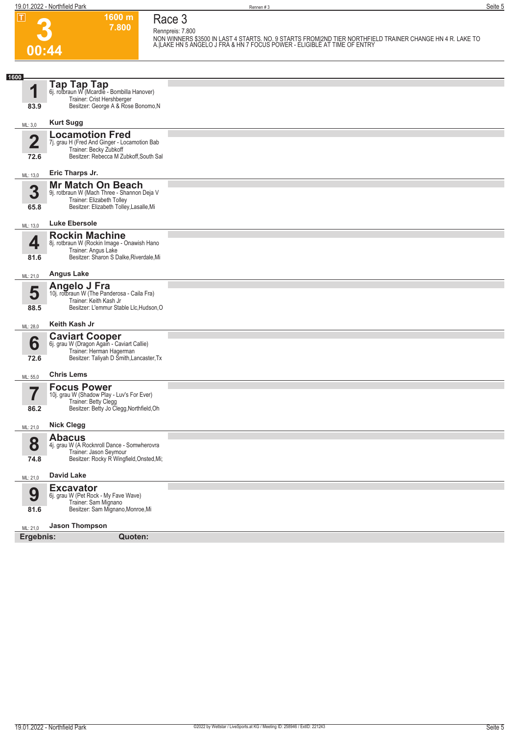**00:44**

**Race 3 Rennpreis: 7.800**

**1600 m 7.800** 

**NON WINNERS \$3500 IN LAST 4 STARTS. NO. 9 STARTS FROM|2ND TIER NORTHFIELD TRAINER CHANGE HN 4 R. LAKE TO A.|LAKE HN 5 ANGELO J FRA & HN 7 FOCUS POWER - ELIGIBLE AT TIME OF ENTRY** 

| 1600                            |                                                                                                                                                 |  |
|---------------------------------|-------------------------------------------------------------------------------------------------------------------------------------------------|--|
| и<br>83.9                       | <b>Tap Tap Tap</b><br>6j. rotbraun W (Mcardle - Bombilla Hanover)<br>Trainer: Crist Hershberger<br>Besitzer: George A & Rose Bonomo, N          |  |
| ML: 3,0                         | <b>Kurt Sugg</b>                                                                                                                                |  |
| $\overline{\mathbf{2}}$<br>72.6 | <b>Locamotion Fred</b><br>7j. grau H (Fred And Ginger - Locamotion Bab<br>Trainer: Becky Zubkoff<br>Besitzer: Rebecca M Zubkoff, South Sal      |  |
| ML: 13,0                        | Eric Tharps Jr.                                                                                                                                 |  |
| 3<br>65.8                       | <b>Mr Match On Beach</b><br>9j. rotbraun W (Mach Three - Shannon Deja V<br>Trainer: Elizabeth Tolley<br>Besitzer: Elizabeth Tolley, Lasalle, Mi |  |
| ML: 13,0                        | <b>Luke Ebersole</b>                                                                                                                            |  |
| 4<br>81.6                       | <b>Rockin Machine</b><br>8j. rotbraun W (Rockin Image - Onawish Hano<br>Trainer: Angus Lake<br>Besitzer: Sharon S Dalke, Riverdale, Mi          |  |
| ML: 21,0                        | <b>Angus Lake</b>                                                                                                                               |  |
| 5<br>88.5                       | Angelo J Fra<br>10j. rotbraun W (The Panderosa - Caila Fra)<br>Trainer: Keith Kash Jr<br>Besitzer: L'emmur Stable Llc, Hudson, O                |  |
| ML: 28,0                        | Keith Kash Jr                                                                                                                                   |  |
| 6<br>72.6                       | <b>Caviart Cooper</b><br>6j. grau W (Dragon Again - Caviart Callie)<br>Trainer: Herman Hagerman<br>Besitzer: Taliyah D Šmith, Lancaster, Tx     |  |
| ML: 55,0                        | <b>Chris Lems</b>                                                                                                                               |  |
| 86.2                            | <b>Focus Power</b><br>10j. grau W (Shadow Play - Luv's For Ever)<br>Trainer: Betty Clegg<br>Besitzer: Betty Jo Clegg, Northfield, Oh            |  |
| ML: 21,0                        | <b>Nick Clegg</b>                                                                                                                               |  |
| 8<br>74.8                       | <b>Abacus</b><br>4j. grau W (A Rocknroll Dance - Somwherovra<br>Trainer: Jason Seymour<br>Besitzer: Rocky R Wingfield, Onsted, Mi;              |  |
| ML: 21,0                        | <b>David Lake</b>                                                                                                                               |  |
| 9<br>81.6                       | <b>Excavator</b><br>6j. grau W (Pet Rock - My Fave Wave)<br>Trainer: Sam Mignano<br>Besitzer: Sam Mignano, Monroe, Mi                           |  |
|                                 | <b>Jason Thompson</b>                                                                                                                           |  |
| ML: 21,0<br>Ergebnis:           | Quoten:                                                                                                                                         |  |
|                                 |                                                                                                                                                 |  |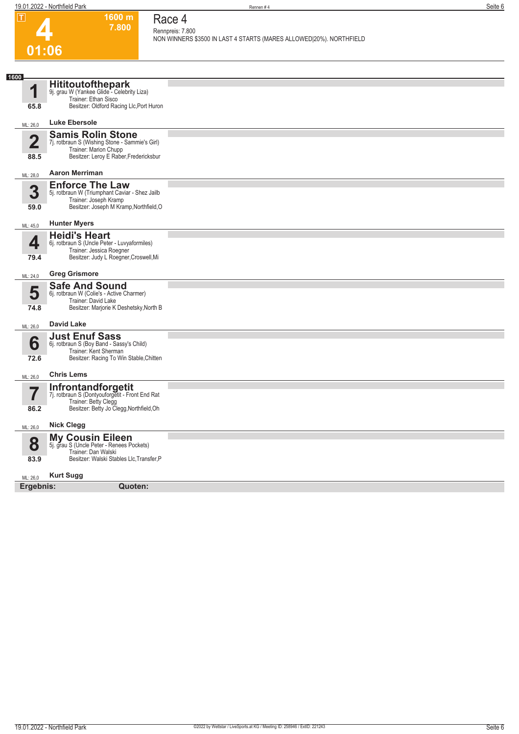| $ \mathbf{T} $<br>01:06  | 1600 m<br>7.800                                                              | Race 4<br>Rennpreis: 7.800<br>NON WINNERS \$3500 IN LAST 4 STARTS (MARES ALLOWED 20%). NORTHFIELD |
|--------------------------|------------------------------------------------------------------------------|---------------------------------------------------------------------------------------------------|
| 1600                     |                                                                              |                                                                                                   |
| 1                        | Hititoutofthepark<br>9j. grau W (Yankee Glide - Celebrity Liza)              |                                                                                                   |
| 65.8                     | Trainer: Ethan Sisco<br>Besitzer: Oldford Racing Llc, Port Huron             |                                                                                                   |
| ML: 26,0                 | <b>Luke Ebersole</b>                                                         |                                                                                                   |
| $\overline{\mathbf{2}}$  | <b>Samis Rolin Stone</b>                                                     |                                                                                                   |
|                          | 7j. rotbraun S (Wishing Stone - Sammie's Girl)<br>Trainer: Marion Chupp      |                                                                                                   |
| 88.5                     | Besitzer: Leroy E Raber, Fredericksbur                                       |                                                                                                   |
| ML: 28,0                 | <b>Aaron Merriman</b>                                                        |                                                                                                   |
| 3                        | <b>Enforce The Law</b><br>5j. rotbraun W (Triumphant Caviar - Shez Jailb     |                                                                                                   |
| 59.0                     | Trainer: Joseph Kramp<br>Besitzer: Joseph M Kramp, Northfield, O             |                                                                                                   |
| ML: 45,0                 | <b>Hunter Myers</b>                                                          |                                                                                                   |
|                          | <b>Heidi's Heart</b>                                                         |                                                                                                   |
| 4                        | 6j. rotbraun S (Uncle Peter - Luvyaformiles)<br>Trainer: Jessica Roegner     |                                                                                                   |
| 79.4                     | Besitzer: Judy L Roegner, Croswell, Mi                                       |                                                                                                   |
| ML: 24,0                 | <b>Greg Grismore</b>                                                         |                                                                                                   |
| 5                        | <b>Safe And Sound</b><br>6j. rotbraun W (Colie's - Active Charmer)           |                                                                                                   |
| 74.8                     | Trainer: David Lake<br>Besitzer: Marjorie K Deshetsky, North B               |                                                                                                   |
| ML: 26,0                 | <b>David Lake</b>                                                            |                                                                                                   |
|                          | <b>Just Enuf Sass</b>                                                        |                                                                                                   |
| 6                        | 6j. rotbraun S (Boy Band - Sassy's Child)<br>Trainer: Kent Sherman           |                                                                                                   |
| 72.6                     | Besitzer: Racing To Win Stable, Chitten                                      |                                                                                                   |
| ML: 26,0                 | <b>Chris Lems</b>                                                            |                                                                                                   |
| $\overline{\phantom{a}}$ | <b>Infrontandforgetit</b><br>7j. rotbraun S (Dontyouforgetit - Front End Rat |                                                                                                   |
| 86.2                     | Trainer: Betty Clegg<br>Besitzer: Betty Jo Clegg, Northfield, Oh             |                                                                                                   |
| ML: 26,0                 | <b>Nick Clegg</b>                                                            |                                                                                                   |
|                          | <b>My Cousin Eileen</b>                                                      |                                                                                                   |
| 8                        | 5j. grau S (Uncle Peter - Renees Pockets)<br>Trainer: Dan Walski             |                                                                                                   |
| 83.9                     | Besitzer: Walski Stables Llc, Transfer, P                                    |                                                                                                   |
| ML: 26,0                 | <b>Kurt Sugg</b>                                                             |                                                                                                   |
| Ergebnis:                | Quoten:                                                                      |                                                                                                   |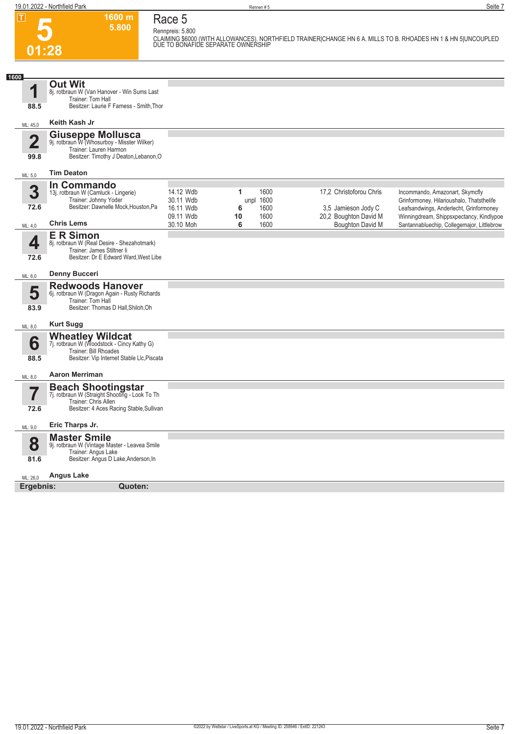**Race 5 Rennpreis: 5.800**

**1600 m 5.800** 



**CLAIMING \$6000 (WITH ALLOWANCES). NORTHFIELD TRAINER|CHANGE HN 6 A. MILLS TO B. RHOADES HN 1 & HN 5|UNCOUPLED DUE TO BONAFIDE SEPARATE OWNERSHIP** 

| 1600                            |                                                                                                                                              |                                     |                                        |                                                  |                                                                                                                         |
|---------------------------------|----------------------------------------------------------------------------------------------------------------------------------------------|-------------------------------------|----------------------------------------|--------------------------------------------------|-------------------------------------------------------------------------------------------------------------------------|
| 1                               | <b>Out Wit</b><br>8j. rotbraun W (Van Hanover - Win Sums Last<br>Trainer: Tom Hall                                                           |                                     |                                        |                                                  |                                                                                                                         |
| 88.5                            | Besitzer: Laurie F Farness - Smith, Thor                                                                                                     |                                     |                                        |                                                  |                                                                                                                         |
| ML: 45,0                        | Keith Kash Jr                                                                                                                                |                                     |                                        |                                                  |                                                                                                                         |
| $\overline{\mathbf{2}}$<br>99.8 | <b>Giuseppe Mollusca</b><br>9j. rotbraun W (Whosurboy - Misster Wilker)<br>Trainer: Lauren Harmon<br>Besitzer: Timothy J Deaton, Lebanon, O  |                                     |                                        |                                                  |                                                                                                                         |
| ML: 5,0                         | <b>Tim Deaton</b>                                                                                                                            |                                     |                                        |                                                  |                                                                                                                         |
| 3<br>72.6                       | In Commando<br>13j. rotbraun W (Camluck - Lingerie)<br>Trainer: Johnny Yoder<br>Besitzer: Dawnelle Mock, Houston, Pa                         | 14.12 Wdb<br>30.11 Wdb<br>16.11 Wdb | 1600<br>1<br>1600<br>unpl<br>6<br>1600 | 17,2 Christoforou Chris<br>3,5 Jamieson Jody C   | Incommando, Amazonart, Skymcfly<br>Grinformoney, Hilarioushalo, Thatsthelife<br>Leafsandwings, Anderlecht, Grinformoney |
| ML: 4,0                         | <b>Chris Lems</b>                                                                                                                            | 09.11 Wdb<br>30.10 Moh              | 1600<br>10<br>6<br>1600                | 20,2 Boughton David M<br><b>Boughton David M</b> | Winningdream, Shippsxpectancy, Kindlypoe<br>Santannabluechip, Collegemajor, Littlebrow                                  |
| 4<br>72.6                       | <b>ER Simon</b><br>8j. rotbraun W (Real Desire - Shezahotmark)<br>Trainer: James Stiltner li<br>Besitzer: Dr E Edward Ward, West Libe        |                                     |                                        |                                                  |                                                                                                                         |
| ML: 6,0                         | <b>Denny Bucceri</b>                                                                                                                         |                                     |                                        |                                                  |                                                                                                                         |
| 5<br>83.9                       | <b>Redwoods Hanover</b><br>6j. rotbraun W (Dragon Again - Rusty Richards<br>Trainer: Tom Hall<br>Besitzer: Thomas D Hall, Shiloh, Oh         |                                     |                                        |                                                  |                                                                                                                         |
| ML: 8,0                         | <b>Kurt Sugg</b>                                                                                                                             |                                     |                                        |                                                  |                                                                                                                         |
| 6<br>88.5                       | <b>Wheatley Wildcat</b><br>7j. rotbraun W (Woodstock - Cincy Kathy G)<br>Trainer: Bill Rhoades<br>Besitzer: Vip Internet Stable Llc, Piscata |                                     |                                        |                                                  |                                                                                                                         |
| ML: 8,0                         | <b>Aaron Merriman</b>                                                                                                                        |                                     |                                        |                                                  |                                                                                                                         |
|                                 | <b>Beach Shootingstar</b><br>7j. rotbraun W (Straight Shooting - Look To Th<br>Trainer: Chris Allen                                          |                                     |                                        |                                                  |                                                                                                                         |
| 72.6                            | Besitzer: 4 Aces Racing Stable, Sullivan                                                                                                     |                                     |                                        |                                                  |                                                                                                                         |
| ML: 9,0                         | Eric Tharps Jr.                                                                                                                              |                                     |                                        |                                                  |                                                                                                                         |
| 8                               | <b>Master Smile</b><br>9j. rotbraun W (Vintage Master - Leavea Smile<br>Trainer: Angus Lake                                                  |                                     |                                        |                                                  |                                                                                                                         |
| 81.6                            | Besitzer: Angus D Lake, Anderson, In                                                                                                         |                                     |                                        |                                                  |                                                                                                                         |
| ML: 26,0                        | <b>Angus Lake</b>                                                                                                                            |                                     |                                        |                                                  |                                                                                                                         |
| Ergebnis:                       | Quoten:                                                                                                                                      |                                     |                                        |                                                  |                                                                                                                         |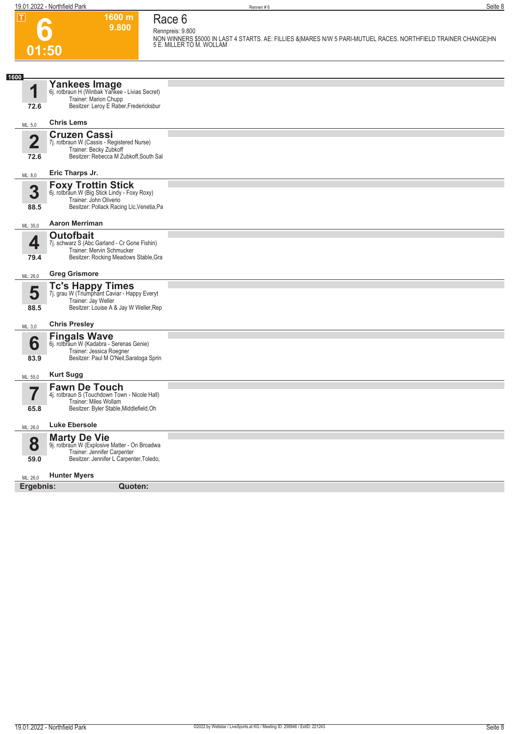### **Race 6 Rennpreis: 9.800**

**6 01:50**

**9.800** 

**1600 m**

| Refilibiers, 9,000                                                                                                                         |
|--------------------------------------------------------------------------------------------------------------------------------------------|
| NON WINNERS \$5000 IN LAST 4 STARTS. AE: FILLIES &IMARES N/W 5 PARI-MUTUEL RACES. NORTHFIELD TRAINER CHANGEIHN<br>5 E. MILLER TO M. WOLLAM |

| 1600                            |                                                                                                                                                  |  |
|---------------------------------|--------------------------------------------------------------------------------------------------------------------------------------------------|--|
| 1                               | Yankees Image<br>6j. rotbraun H (Winbak Yankee - Livias Secret)                                                                                  |  |
| 72.6                            | Trainer: Marion Chupp<br>Besitzer: Leroy E Raber, Fredericksbur                                                                                  |  |
| ML: 5,0                         | <b>Chris Lems</b>                                                                                                                                |  |
| $\overline{2}$<br>72.6          | <b>Cruzen Cassi</b><br>7j. rotbraun W (Cassis - Registered Nurse)<br>Trainer: Becky Zubkoff<br>Besitzer: Rebecca M Zubkoff, South Sal            |  |
| ML: 8,0                         | Eric Tharps Jr.                                                                                                                                  |  |
| 3<br>88.5                       | <b>Foxy Trottin Stick</b><br>6j. rotbraun W (Big Stick Lindy - Foxy Roxy)<br>Trainer: John Oliverio<br>Besitzer: Pollack Racing Llc, Venetia, Pa |  |
| ML: 35,0                        | <b>Aaron Merriman</b>                                                                                                                            |  |
| 4<br>79.4                       | <b>Outofbait</b><br>7j. schwarz S (Abc Garland - Cr Gone Fishin)<br>Trainer: Mervin Schmucker<br>Besitzer: Rocking Meadows Stable, Gra           |  |
| ML: 26,0                        | <b>Greg Grismore</b>                                                                                                                             |  |
| 5<br>88.5                       | Tc's Happy Times<br>7j. grau W (Triumphant Caviar - Happy Everyt<br>Trainer: Jay Weller<br>Besitzer: Louise A & Jay W Weller, Rep                |  |
| ML: 3,0                         | <b>Chris Presley</b>                                                                                                                             |  |
| 6<br>83.9                       | <b>Fingals Wave</b><br>6j. rotbraun W (Kadabra - Serenas Genie)<br>Trainer: Jessica Roegner<br>Besitzer: Paul M O'Neil, Saratoga Sprin           |  |
| ML: 55,0                        | <b>Kurt Sugg</b>                                                                                                                                 |  |
| $\overline{\mathbf{7}}$<br>65.8 | <b>Fawn De Touch</b><br>4j. rotbraun S (Touchdown Town - Nicole Hall)<br>Trainer: Miles Wollam<br>Besitzer: Byler Stable, Middlefield, Oh        |  |
| ML: 26,0                        | <b>Luke Ebersole</b>                                                                                                                             |  |
| 8<br>59.0                       | <b>Marty De Vie</b><br>9j. rotbraun W (Explosive Matter - On Broadwa<br>Trainer: Jennifer Carpenter<br>Besitzer: Jennifer L Carpenter, Toledo,   |  |
| ML: 26,0                        | <b>Hunter Myers</b>                                                                                                                              |  |
| Ergebnis:                       | Quoten:                                                                                                                                          |  |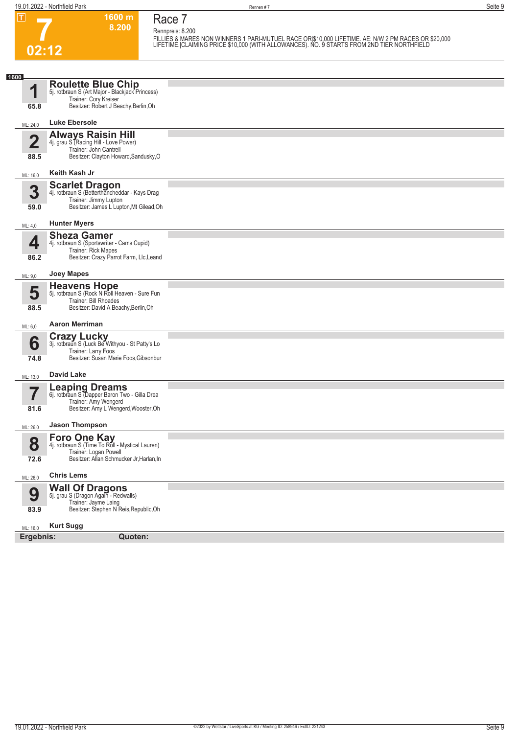**7 02:12** **Race 7 Rennpreis: 8.200**

**1600 m 8.200** 

**FILLIES & MARES NON WINNERS 1 PARI-MUTUEL RACE OR|\$10,000 LIFETIME. AE: N/W 2 PM RACES OR \$20,000 LIFETIME.|CLAIMING PRICE \$10,000 (WITH ALLOWANCES). NO. 9 STARTS FROM 2ND TIER NORTHFIELD** 

| 1600                    |                                                                                                                                             |  |
|-------------------------|---------------------------------------------------------------------------------------------------------------------------------------------|--|
| 1                       | <b>Roulette Blue Chip</b><br>5j. rotbraun S (Art Major - Blackjack Princess)<br>Trainer: Cory Kreiser                                       |  |
| 65.8                    | Besitzer: Robert J Beachy, Berlin, Oh                                                                                                       |  |
| ML: 24,0                | Luke Ebersole                                                                                                                               |  |
| $\overline{\mathbf{2}}$ | <b>Always Raisin Hill</b><br>4j. grau S (Racing Hill - Love Power)<br>Trainer: John Cantrell                                                |  |
| 88.5                    | Besitzer: Clayton Howard, Sandusky, O                                                                                                       |  |
| ML: 16,0                | Keith Kash Jr                                                                                                                               |  |
| 3<br>59.0               | <b>Scarlet Dragon</b><br>4j. rotbraun S (Betterthancheddar - Kays Drag<br>Trainer: Jimmy Lupton<br>Besitzer: James L Lupton, Mt Gilead, Oh  |  |
| ML: 4,0                 | <b>Hunter Myers</b>                                                                                                                         |  |
| 4<br>86.2               | <b>Sheza Gamer</b><br>4j. rotbraun S (Sportswriter - Cams Cupid)<br>Trainer: Rick Mapes<br>Besitzer: Crazy Parrot Farm, Llc, Leand          |  |
| ML: 9,0                 | <b>Joey Mapes</b>                                                                                                                           |  |
| 5<br>88.5               | <b>Heavens Hope</b><br>5j. rotbraun S (Rock N Roll Heaven - Sure Fun<br>Trainer: Bill Rhoades<br>Besitzer: David A Beachy, Berlin, Oh       |  |
| ML: 6,0                 | <b>Aaron Merriman</b>                                                                                                                       |  |
| 6<br>74.8               | <b>Crazy Lucky</b><br>3j. rotbraun S (Luck Be Withyou - St Patty's Lo<br>Trainer: Larry Foos<br>Besitzer: Susan Marie Foos, Gibsonbur       |  |
| ML: 13,0                | <b>David Lake</b>                                                                                                                           |  |
|                         | <b>Leaping Dreams</b><br>6j. rotbraun S (Dapper Baron Two - Gilla Drea<br>Trainer: Amy Wengerd                                              |  |
| 81.6                    | Besitzer: Amy L Wengerd, Wooster, Oh                                                                                                        |  |
| ML: 26,0                | <b>Jason Thompson</b>                                                                                                                       |  |
| 8<br>72.6               | <b>Foro One Kay</b><br>4j. rotbraun S (Time To Roll - Mystical Lauren)<br>Trainer: Logan Powell<br>Besitzer: Allan Schmucker Jr, Harlan, In |  |
| ML: 26,0                | <b>Chris Lems</b>                                                                                                                           |  |
| 9<br>83.9               | <b>Wall Of Dragons</b><br>5j. grau S (Dragon Again - Redwalls)<br>Trainer: Jayme Laing<br>Besitzer: Stephen N Reis, Republic, Oh            |  |
| ML: 16,0                | <b>Kurt Sugg</b>                                                                                                                            |  |
| Ergebnis:               | Quoten:                                                                                                                                     |  |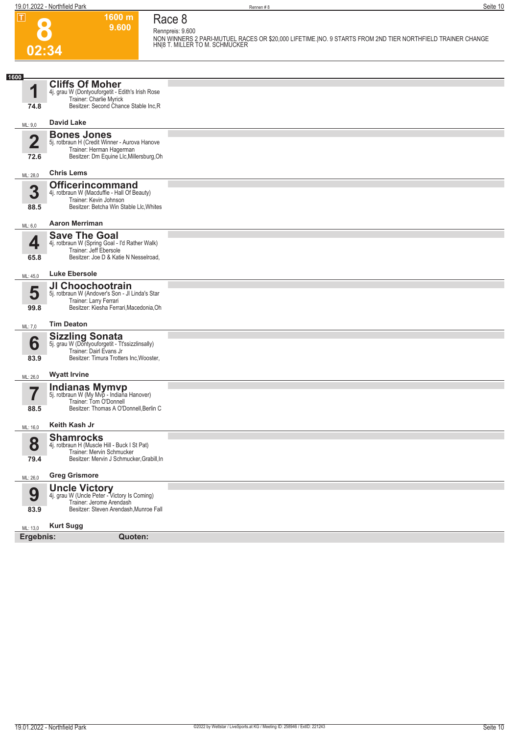**Race 8 Rennpreis: 9.600**

**1600 m 9.600** 



**NON WINNERS 2 PARI-MUTUEL RACES OR \$20,000 LIFETIME.|NO. 9 STARTS FROM 2ND TIER NORTHFIELD TRAINER CHANGE HN|8 T. MILLER TO M. SCHMUCKER** 

| 1600                   |                                                                                                                                                 |  |
|------------------------|-------------------------------------------------------------------------------------------------------------------------------------------------|--|
| И                      | <b>Cliffs Of Moher</b><br>4j. grau W (Dontyouforgetit - Edith's Irish Rose<br>Trainer: Charlie Myrick                                           |  |
| 74.8                   | Besitzer: Second Chance Stable Inc,R                                                                                                            |  |
| ML: 9,0                | <b>David Lake</b>                                                                                                                               |  |
| $\overline{2}$<br>72.6 | <b>Bones Jones</b><br>5j. rotbraun H (Credit Winner - Aurova Hanove<br>Trainer: Herman Hagerman<br>Besitzer: Dm Equine Llc, Millersburg, Oh     |  |
| ML: 28,0               | <b>Chris Lems</b>                                                                                                                               |  |
| 3<br>88.5              | <b>Officerincommand</b><br>4j. rotbraun W (Macduffie - Hall Of Beauty)<br>Trainer: Kevin Johnson<br>Besitzer: Betcha Win Stable Llc, Whites     |  |
| ML: 6,0                | <b>Aaron Merriman</b>                                                                                                                           |  |
| 4<br>65.8              | <b>Save The Goal</b><br>4j. rotbraun W (Spring Goal - I'd Rather Walk)<br>Trainer: Jeff Ebersole<br>Besitzer: Joe D & Katie N Nesselroad,       |  |
| ML: 45,0               | <b>Luke Ebersole</b>                                                                                                                            |  |
| 5<br>99.8              | JI Choochootrain<br>5j. rotbraun W (Andover's Son - Jl Linda's Star<br>Trainer: Larry Ferrari<br>Besitzer: Kiesha Ferrari, Macedonia, Oh        |  |
| ML: 7,0                | <b>Tim Deaton</b>                                                                                                                               |  |
| 6<br>83.9              | <b>Sizzling Sonata</b><br>5j. grau W (Dontyouforgetit - Tt'ssizzlinsally)<br>Trainer: Dairl Evans Jr<br>Besitzer: Timura Trotters Inc, Wooster, |  |
| ML: 26,0               | <b>Wyatt Irvine</b>                                                                                                                             |  |
| 7<br>88.5              | <b>Indianas Mymvp</b><br>5j. rotbraun W (My Mvp - Indiana Hanover)<br>Trainer: Tom O'Donnell<br>Besitzer: Thomas A O'Donnell, Berlin C          |  |
| ML: 16,0               | Keith Kash Jr                                                                                                                                   |  |
| 8<br>79.4              | <b>Shamrocks</b><br>4j. rotbraun H (Muscle Hill - Buck I St Pat)<br>Trainer: Mervin Schmucker<br>Besitzer: Mervin J Schmucker, Grabill, In      |  |
| ML: 26,0               | <b>Greg Grismore</b>                                                                                                                            |  |
| 9<br>83.9              | <b>Uncle Victory</b><br>4j. grau W (Uncle Peter - Victory Is Coming)<br>Trainer: Jerome Arendash<br>Besitzer: Steven Arendash, Munroe Fall      |  |
| ML: 13,0               | <b>Kurt Sugg</b>                                                                                                                                |  |
| Ergebnis:              | Quoten:                                                                                                                                         |  |
|                        |                                                                                                                                                 |  |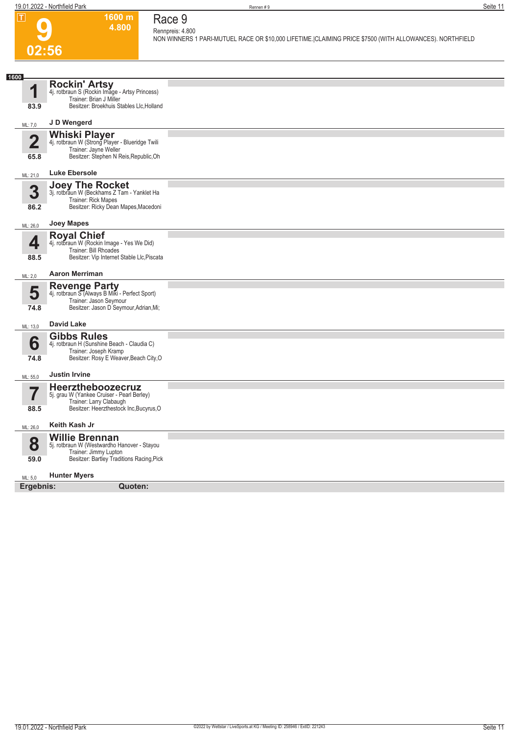

#### **1600 m 4.800 Race 9 Rennpreis: 4.800**

**NON WINNERS 1 PARI-MUTUEL RACE OR \$10,000 LIFETIME.|CLAIMING PRICE \$7500 (WITH ALLOWANCES). NORTHFIELD** 

| 1600                    |                                                                         |  |
|-------------------------|-------------------------------------------------------------------------|--|
|                         | Rockin' Artsy<br>4j. rotbraun S (Rockin Image - Artsy Princess)         |  |
| 1                       | Trainer: Brian J Miller                                                 |  |
| 83.9                    | Besitzer: Broekhuis Stables Llc, Holland                                |  |
| ML: 7,0                 | J D Wengerd                                                             |  |
|                         | <b>Whiski Player</b><br>4j. rotbraun W (Strong Player - Blueridge Twili |  |
| $\overline{2}$          | Trainer: Jayne Weller                                                   |  |
| 65.8                    | Besitzer: Stephen N Reis, Republic, Oh                                  |  |
| ML: 21,0                | <b>Luke Ebersole</b>                                                    |  |
| 3                       | Joey The Rocket<br>3j. rotbraun W (Beckhams Z Tam - Yanklet Ha          |  |
|                         | Trainer: Rick Mapes                                                     |  |
| 86.2                    | Besitzer: Ricky Dean Mapes, Macedoni                                    |  |
| ML: 26,0                | Joey Mapes                                                              |  |
|                         | <b>Royal Chief</b>                                                      |  |
| 4                       | 4j. rotbraun W (Rockin Image - Yes We Did)<br>Trainer: Bill Rhoades     |  |
| 88.5                    | Besitzer: Vip Internet Stable Llc, Piscata                              |  |
| ML: 2,0                 | <b>Aaron Merriman</b>                                                   |  |
| 5                       | Revenge Party<br>4j. rotbraun S (Always B Miki - Perfect Sport)         |  |
|                         | Trainer: Jason Seymour                                                  |  |
| 74.8                    | Besitzer: Jason D Seymour, Adrian, Mi;                                  |  |
| ML: 13,0                | <b>David Lake</b>                                                       |  |
|                         | <b>Gibbs Rules</b>                                                      |  |
| 6                       | 4j. rotbraun H (Sunshine Beach - Claudia C)<br>Trainer: Joseph Kramp    |  |
| 74.8                    | Besitzer: Rosy E Weaver, Beach City, O                                  |  |
| ML: 55,0                | <b>Justin Irvine</b>                                                    |  |
|                         | Heerztheboozecruz                                                       |  |
| $\overline{\mathbf{7}}$ | 5j. grau W (Yankee Cruiser - Pearl Berley)<br>Trainer: Larry Clabaugh   |  |
| 88.5                    | Besitzer: Heerzthestock Inc, Bucyrus, O                                 |  |
| ML: 26,0                | Keith Kash Jr                                                           |  |
|                         | <b>Willie Brennan</b>                                                   |  |
| 8                       | 5j. rotbraun W (Westwardho Hanover - Stayou<br>Trainer: Jimmy Lupton    |  |
| 59.0                    | Besitzer: Bartley Traditions Racing, Pick                               |  |
| ML: 5,0                 | <b>Hunter Myers</b>                                                     |  |
| Ergebnis:               | Quoten:                                                                 |  |
|                         |                                                                         |  |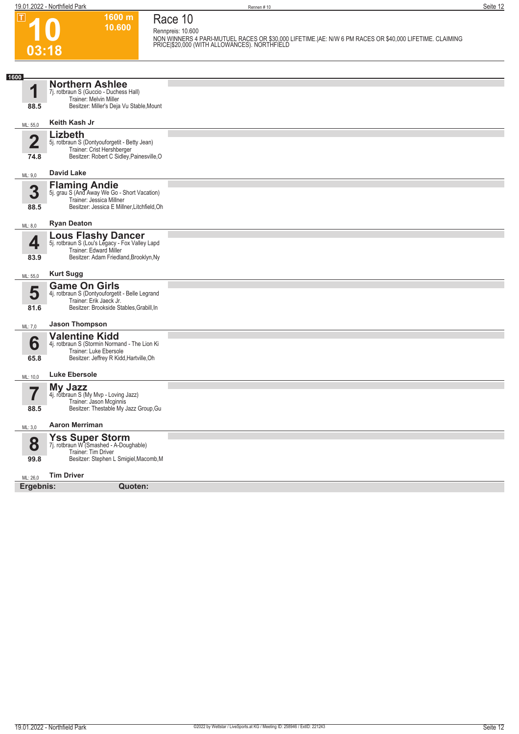**Race 10**

**10.600** 

**1600 m**

**Rennpreis: 10.600**

**10 03:18**

 $\boxed{1}$ 

**NON WINNERS 4 PARI-MUTUEL RACES OR \$30,000 LIFETIME.|AE: N/W 6 PM RACES OR \$40,000 LIFETIME. CLAIMING PRICE|\$20,000 (WITH ALLOWANCES). NORTHFIELD** 

| 1600                            |                                                                                                                                                 |  |
|---------------------------------|-------------------------------------------------------------------------------------------------------------------------------------------------|--|
| 1<br>88.5                       | <b>Northern Ashlee</b><br>7j. rotbraun S (Guccio - Duchess Hall)<br>Trainer: Melvin Miller<br>Besitzer: Miller's Deja Vu Stable, Mount          |  |
| ML: 55,0                        | Keith Kash Jr                                                                                                                                   |  |
| $\overline{\mathbf{2}}$<br>74.8 | Lizbeth<br>5j. rotbraun S (Dontyouforgetit - Betty Jean)<br>Trainer: Crist Hershberger<br>Besitzer: Robert C Sidley, Painesville, O             |  |
| ML: 9,0                         | <b>David Lake</b>                                                                                                                               |  |
| 3<br>88.5                       | <b>Flaming Andie</b><br>5j. grau S (And Away We Go - Short Vacation)<br>Trainer: Jessica Millner<br>Besitzer: Jessica E Millner, Litchfield, Oh |  |
| ML: 8,0                         | <b>Ryan Deaton</b>                                                                                                                              |  |
| 4<br>83.9                       | <b>Lous Flashy Dancer</b><br>5j. rotbraun S (Lou's Legacy - Fox Valley Lapd<br>Trainer: Edward Miller<br>Besitzer: Adam Friedland, Brooklyn, Ny |  |
| ML: 55,0                        | <b>Kurt Sugg</b>                                                                                                                                |  |
| 5<br>81.6                       | <b>Game On Girls</b><br>4j. rotbraun S (Dontyouforgetit - Belle Legrand<br>Trainer: Erik Jaeck Jr.<br>Besitzer: Brookside Stables, Grabill, In  |  |
| ML: 7,0                         | <b>Jason Thompson</b>                                                                                                                           |  |
| 6<br>65.8                       | <b>Valentine Kidd</b><br>4j. rotbraun S (Stormin Normand - The Lion Ki<br>Trainer: Luke Ebersole<br>Besitzer: Jeffrey R Kidd, Hartville, Oh     |  |
| ML: 10,0                        | <b>Luke Ebersole</b>                                                                                                                            |  |
| 5<br>88.5                       | My Jazz<br>4j. rotbraun S (My Mvp - Loving Jazz)<br>Trainer: Jason Mcginnis<br>Besitzer: Thestable My Jazz Group, Gu                            |  |
| ML: 3,0                         | <b>Aaron Merriman</b>                                                                                                                           |  |
| 8<br>99.8                       | <b>Yss Super Storm</b><br>7j. rotbraun W (Smashed - A-Doughable)<br>Trainer: Tim Driver<br>Besitzer: Stephen L Smigiel, Macomb, M               |  |
| ML: 26,0                        | <b>Tim Driver</b>                                                                                                                               |  |
| Ergebnis:                       | Quoten:                                                                                                                                         |  |
|                                 |                                                                                                                                                 |  |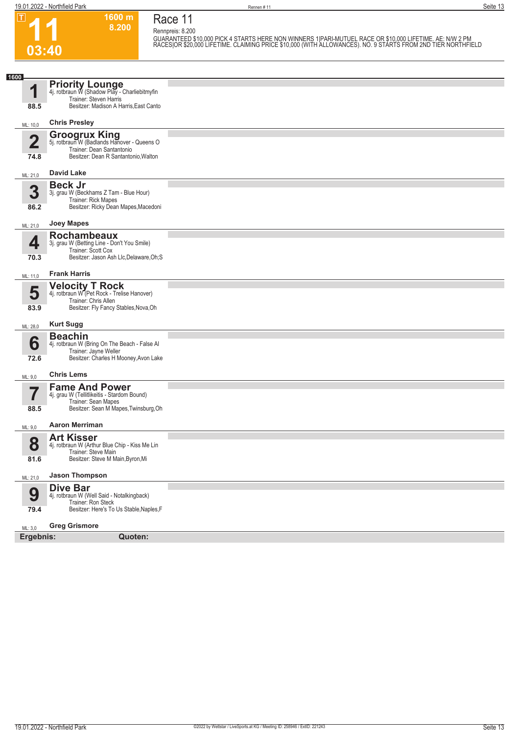**03:40**

 $\boxed{1}$ 

**Race 11**

**1600 m 8.200** 

**Rennpreis: 8.200**

GUARANTEED \$10,000 PICK 4 STARTS HERE NON WINNERS 1|PARI-MUTUEL RACE OR \$10,000 LIFETIME. AE: N/W 2 PM<br>RACES|OR \$20,000 LIFETIME. CLAIMING PRICE \$10,000 (WITH ALLOWANCES). NO. 9 STARTS FROM 2ND TIER NORTHFIELD

| 1600      |                                                                                                                                 |  |
|-----------|---------------------------------------------------------------------------------------------------------------------------------|--|
| и         | <b>Priority Lounge</b><br>4j. rotbraun W (Shadow Play - Charliebitmyfin<br>Trainer: Steven Harris                               |  |
| 88.5      | Besitzer: Madison A Harris, East Canto                                                                                          |  |
| ML: 10,0  | <b>Chris Presley</b>                                                                                                            |  |
| 2         | <b>Groogrux King</b><br>5j. rotbraun W (Badlands Hanover - Queens O<br>Trainer: Dean Santantonio                                |  |
| 74.8      | Besitzer: Dean R Santantonio, Walton                                                                                            |  |
| ML: 21,0  | <b>David Lake</b>                                                                                                               |  |
| 3         | <b>Beck Jr</b><br>3j. grau W (Beckhams Z Tam - Blue Hour)<br>Trainer: Rick Mapes                                                |  |
| 86.2      | Besitzer: Ricky Dean Mapes, Macedoni                                                                                            |  |
| ML: 21,0  | <b>Joey Mapes</b>                                                                                                               |  |
| ◢         | <b>Rochambeaux</b><br>3j. grau W (Betting Line - Don't You Smile)<br>Trainer: Scott Cox                                         |  |
| 70.3      | Besitzer: Jason Ash Llc, Delaware, Oh; S                                                                                        |  |
| ML: 11,0  | <b>Frank Harris</b>                                                                                                             |  |
| 5         | <b>Velocity T Rock</b><br>4j. rotbraun W (Pet Rock - Trelise Hanover)<br>Trainer: Chris Allen                                   |  |
| 83.9      | Besitzer: Fly Fancy Stables, Nova, Oh                                                                                           |  |
| ML: 28,0  | <b>Kurt Sugg</b>                                                                                                                |  |
| 6         | <b>Beachin</b><br>4j. rotbraun W (Bring On The Beach - False Al<br>Trainer: Jayne Weller                                        |  |
| 72.6      | Besitzer: Charles H Mooney, Avon Lake                                                                                           |  |
| ML: 9,0   | <b>Chris Lems</b>                                                                                                               |  |
|           | <b>Fame And Power</b><br>4j. grau W (Tellitlikeitis - Stardom Bound)<br>Trainer: Sean Mapes                                     |  |
| 88.5      | Besitzer: Sean M Mapes, Twinsburg, Oh                                                                                           |  |
| ML: 9,0   | <b>Aaron Merriman</b>                                                                                                           |  |
| 8         | <b>Art Kisser</b><br>4j. rotbraun W (Arthur Blue Chip - Kiss Me Lin<br>Trainer: Steve Main                                      |  |
| 81.6      | Besitzer: Steve M Main, Byron, Mi                                                                                               |  |
| ML: 21,0  | <b>Jason Thompson</b>                                                                                                           |  |
| 9<br>79.4 | <b>Dive Bar</b><br>4j. rotbraun W (Well Said - Notalkingback)<br>Trainer: Ron Steck<br>Besitzer: Here's To Us Stable, Naples, F |  |
| ML: 3,0   | <b>Greg Grismore</b>                                                                                                            |  |
| Ergebnis: | Quoten:                                                                                                                         |  |
|           |                                                                                                                                 |  |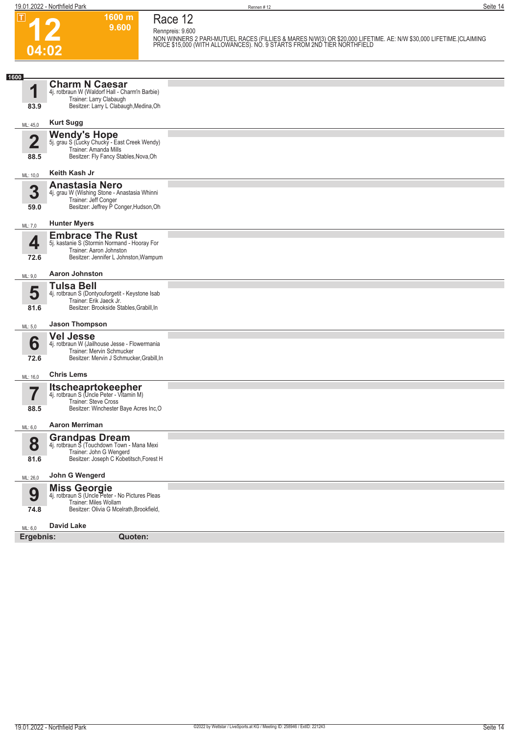$\boxed{1}$ 

**04:02**

**Race 12**

**Rennpreis: 9.600**

**1600 m 9.600** 

**NON WINNERS 2 PARI-MUTUEL RACES (FILLIES & MARES N/W|3) OR \$20,000 LIFETIME. AE: N/W \$30,000 LIFETIME.|CLAIMING PRICE \$15,000 (WITH ALLOWANCES). NO. 9 STARTS FROM 2ND TIER NORTHFIELD** 

| <b>Charm N Caesar</b><br>И<br>4j. rotbraun W (Waldorf Hall - Charm'n Barbie)<br>Trainer: Larry Clabaugh<br>Besitzer: Larry L Clabaugh, Medina, Oh<br>83.9<br><b>Kurt Sugg</b><br>ML: 45,0<br><b>Wendy's Hope</b><br>5j. grau S (Lucky Chucky - East Creek Wendy)<br>$\overline{\mathbf{2}}$<br>Trainer: Amanda Mills<br>Besitzer: Fly Fancy Stables, Nova, Oh<br>88.5<br>Keith Kash Jr<br>ML: 10,0<br><b>Anastasia Nero</b><br>3<br>4j. grau W (Wishing Stone - Anastasia Whinni<br>Trainer: Jeff Conger<br>Besitzer: Jeffrey P Conger, Hudson, Oh<br>59.0<br><b>Hunter Myers</b><br>ML: 7,0<br><b>Embrace The Rust</b><br>4<br>5j. kastanie S (Stormin Normand - Hooray For<br>Trainer: Aaron Johnston<br>Besitzer: Jennifer L Johnston, Wampum<br>72.6<br><b>Aaron Johnston</b><br>ML: 9,0<br><b>Tulsa Bell</b><br>5<br>4j. rotbraun S (Dontyouforgetit - Keystone Isab<br>Trainer: Erik Jaeck Jr.<br>Besitzer: Brookside Stables, Grabill, In<br>81.6<br><b>Jason Thompson</b><br>ML: 5,0<br><b>Vel Jesse</b><br>6<br>4j. rotbraun W (Jailhouse Jesse - Flowermania<br>Trainer: Mervin Schmucker<br>Besitzer: Mervin J Schmucker, Grabill, In<br>72.6<br><b>Chris Lems</b><br>ML: 16,0<br><b>Itscheaprtokeepher</b><br>4j. rotbraun S (Uncle Peter - Vitamin M)<br><b>Trainer: Steve Cross</b><br>Besitzer: Winchester Baye Acres Inc, O<br>88.5<br><b>Aaron Merriman</b><br>ML: 6,0<br><b>Grandpas Dream</b><br>8<br>4j. rotbraun S (Touchdown Town - Mana Mexi<br>Trainer: John G Wengerd<br>Besitzer: Joseph C Kobetitsch, Forest H<br>81.6<br>John G Wengerd<br>ML: 26,0<br><b>Miss Georgie</b><br>4j. rotbraun S (Uncle Peter - No Pictures Pleas<br>9<br>Trainer: Miles Wollam<br>Besitzer: Olivia G Mcelrath, Brookfield,<br>74.8<br><b>David Lake</b><br>ML: 6,0 | 1600      |         |  |
|-----------------------------------------------------------------------------------------------------------------------------------------------------------------------------------------------------------------------------------------------------------------------------------------------------------------------------------------------------------------------------------------------------------------------------------------------------------------------------------------------------------------------------------------------------------------------------------------------------------------------------------------------------------------------------------------------------------------------------------------------------------------------------------------------------------------------------------------------------------------------------------------------------------------------------------------------------------------------------------------------------------------------------------------------------------------------------------------------------------------------------------------------------------------------------------------------------------------------------------------------------------------------------------------------------------------------------------------------------------------------------------------------------------------------------------------------------------------------------------------------------------------------------------------------------------------------------------------------------------------------------------------------------------------------------------------------------------------------------------------------------------------------------|-----------|---------|--|
|                                                                                                                                                                                                                                                                                                                                                                                                                                                                                                                                                                                                                                                                                                                                                                                                                                                                                                                                                                                                                                                                                                                                                                                                                                                                                                                                                                                                                                                                                                                                                                                                                                                                                                                                                                             |           |         |  |
|                                                                                                                                                                                                                                                                                                                                                                                                                                                                                                                                                                                                                                                                                                                                                                                                                                                                                                                                                                                                                                                                                                                                                                                                                                                                                                                                                                                                                                                                                                                                                                                                                                                                                                                                                                             |           |         |  |
|                                                                                                                                                                                                                                                                                                                                                                                                                                                                                                                                                                                                                                                                                                                                                                                                                                                                                                                                                                                                                                                                                                                                                                                                                                                                                                                                                                                                                                                                                                                                                                                                                                                                                                                                                                             |           |         |  |
|                                                                                                                                                                                                                                                                                                                                                                                                                                                                                                                                                                                                                                                                                                                                                                                                                                                                                                                                                                                                                                                                                                                                                                                                                                                                                                                                                                                                                                                                                                                                                                                                                                                                                                                                                                             |           |         |  |
|                                                                                                                                                                                                                                                                                                                                                                                                                                                                                                                                                                                                                                                                                                                                                                                                                                                                                                                                                                                                                                                                                                                                                                                                                                                                                                                                                                                                                                                                                                                                                                                                                                                                                                                                                                             |           |         |  |
|                                                                                                                                                                                                                                                                                                                                                                                                                                                                                                                                                                                                                                                                                                                                                                                                                                                                                                                                                                                                                                                                                                                                                                                                                                                                                                                                                                                                                                                                                                                                                                                                                                                                                                                                                                             |           |         |  |
|                                                                                                                                                                                                                                                                                                                                                                                                                                                                                                                                                                                                                                                                                                                                                                                                                                                                                                                                                                                                                                                                                                                                                                                                                                                                                                                                                                                                                                                                                                                                                                                                                                                                                                                                                                             |           |         |  |
|                                                                                                                                                                                                                                                                                                                                                                                                                                                                                                                                                                                                                                                                                                                                                                                                                                                                                                                                                                                                                                                                                                                                                                                                                                                                                                                                                                                                                                                                                                                                                                                                                                                                                                                                                                             |           |         |  |
|                                                                                                                                                                                                                                                                                                                                                                                                                                                                                                                                                                                                                                                                                                                                                                                                                                                                                                                                                                                                                                                                                                                                                                                                                                                                                                                                                                                                                                                                                                                                                                                                                                                                                                                                                                             |           |         |  |
|                                                                                                                                                                                                                                                                                                                                                                                                                                                                                                                                                                                                                                                                                                                                                                                                                                                                                                                                                                                                                                                                                                                                                                                                                                                                                                                                                                                                                                                                                                                                                                                                                                                                                                                                                                             |           |         |  |
|                                                                                                                                                                                                                                                                                                                                                                                                                                                                                                                                                                                                                                                                                                                                                                                                                                                                                                                                                                                                                                                                                                                                                                                                                                                                                                                                                                                                                                                                                                                                                                                                                                                                                                                                                                             |           |         |  |
|                                                                                                                                                                                                                                                                                                                                                                                                                                                                                                                                                                                                                                                                                                                                                                                                                                                                                                                                                                                                                                                                                                                                                                                                                                                                                                                                                                                                                                                                                                                                                                                                                                                                                                                                                                             |           |         |  |
|                                                                                                                                                                                                                                                                                                                                                                                                                                                                                                                                                                                                                                                                                                                                                                                                                                                                                                                                                                                                                                                                                                                                                                                                                                                                                                                                                                                                                                                                                                                                                                                                                                                                                                                                                                             |           |         |  |
|                                                                                                                                                                                                                                                                                                                                                                                                                                                                                                                                                                                                                                                                                                                                                                                                                                                                                                                                                                                                                                                                                                                                                                                                                                                                                                                                                                                                                                                                                                                                                                                                                                                                                                                                                                             |           |         |  |
|                                                                                                                                                                                                                                                                                                                                                                                                                                                                                                                                                                                                                                                                                                                                                                                                                                                                                                                                                                                                                                                                                                                                                                                                                                                                                                                                                                                                                                                                                                                                                                                                                                                                                                                                                                             |           |         |  |
|                                                                                                                                                                                                                                                                                                                                                                                                                                                                                                                                                                                                                                                                                                                                                                                                                                                                                                                                                                                                                                                                                                                                                                                                                                                                                                                                                                                                                                                                                                                                                                                                                                                                                                                                                                             |           |         |  |
|                                                                                                                                                                                                                                                                                                                                                                                                                                                                                                                                                                                                                                                                                                                                                                                                                                                                                                                                                                                                                                                                                                                                                                                                                                                                                                                                                                                                                                                                                                                                                                                                                                                                                                                                                                             |           |         |  |
|                                                                                                                                                                                                                                                                                                                                                                                                                                                                                                                                                                                                                                                                                                                                                                                                                                                                                                                                                                                                                                                                                                                                                                                                                                                                                                                                                                                                                                                                                                                                                                                                                                                                                                                                                                             |           |         |  |
|                                                                                                                                                                                                                                                                                                                                                                                                                                                                                                                                                                                                                                                                                                                                                                                                                                                                                                                                                                                                                                                                                                                                                                                                                                                                                                                                                                                                                                                                                                                                                                                                                                                                                                                                                                             |           |         |  |
|                                                                                                                                                                                                                                                                                                                                                                                                                                                                                                                                                                                                                                                                                                                                                                                                                                                                                                                                                                                                                                                                                                                                                                                                                                                                                                                                                                                                                                                                                                                                                                                                                                                                                                                                                                             | Ergebnis: | Quoten: |  |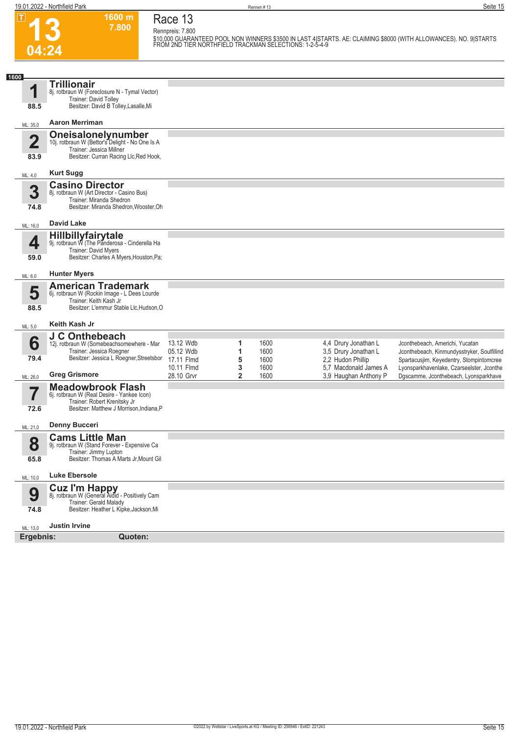$\boxed{1}$ 

**Race 13**

**Rennpreis: 7.800**

**1600 m 7.800** 

**13 04:24**

**\$10,000 GUARANTEED POOL NON WINNERS \$3500 IN LAST 4|STARTS. AE: CLAIMING \$8000 (WITH ALLOWANCES). NO. 9|STARTS FROM 2ND TIER NORTHFIELD TRACKMAN SELECTIONS: 1-2-5-4-9** 

| 1600                            |                                                                                                                                                      |                                      |                     |                      |                                                                   |                                                                                                                            |
|---------------------------------|------------------------------------------------------------------------------------------------------------------------------------------------------|--------------------------------------|---------------------|----------------------|-------------------------------------------------------------------|----------------------------------------------------------------------------------------------------------------------------|
| 1                               | <b>Trillionair</b><br>8j. rotbraun W (Foreclosure N - Tymal Vector)<br>Trainer: David Tolley                                                         |                                      |                     |                      |                                                                   |                                                                                                                            |
| 88.5                            | Besitzer: David B Tolley, Lasalle, Mi                                                                                                                |                                      |                     |                      |                                                                   |                                                                                                                            |
| ML: 35,0                        | <b>Aaron Merriman</b>                                                                                                                                |                                      |                     |                      |                                                                   |                                                                                                                            |
| $\overline{\mathbf{2}}$<br>83.9 | <b>Oneisalonelynumber</b><br>10j. rotbraun W (Bettor's Delight - No One Is A<br>Trainer: Jessica Millner<br>Besitzer: Curran Racing Llc, Red Hook,   |                                      |                     |                      |                                                                   |                                                                                                                            |
| ML: 4,0                         | <b>Kurt Sugg</b>                                                                                                                                     |                                      |                     |                      |                                                                   |                                                                                                                            |
| 3<br>74.8                       | <b>Casino Director</b><br>8j. rotbraun W (Art Director - Casino Bus)<br>Trainer: Miranda Shedron<br>Besitzer: Miranda Shedron, Wooster, Oh           |                                      |                     |                      |                                                                   |                                                                                                                            |
| ML: 16,0                        | <b>David Lake</b>                                                                                                                                    |                                      |                     |                      |                                                                   |                                                                                                                            |
| 4<br>59.0                       | <b>Hillbillyfairytale</b><br>9j. rotbraun W (The Panderosa - Cinderella Ha<br><b>Trainer: David Myers</b><br>Besitzer: Charles A Myers, Houston, Pa; |                                      |                     |                      |                                                                   |                                                                                                                            |
|                                 | <b>Hunter Myers</b>                                                                                                                                  |                                      |                     |                      |                                                                   |                                                                                                                            |
| ML: 6,0<br>5<br>88.5            | <b>American Trademark</b><br>6j. rotbraun W (Rockin Image - L Dees Lourde<br>Trainer: Keith Kash Jr<br>Besitzer: L'emmur Stable Llc, Hudson, O       |                                      |                     |                      |                                                                   |                                                                                                                            |
| ML: 5,0                         | Keith Kash Jr                                                                                                                                        |                                      |                     |                      |                                                                   |                                                                                                                            |
| 6<br>79.4                       | J C Onthebeach<br>12j. rotbraun W (Somebeachsomewhere - Mar<br>Trainer: Jessica Roegner<br>Besitzer: Jessica L Roegner, Streetsbor                   | 13.12 Wdb<br>05.12 Wdb<br>17.11 Flmd | 1<br>5              | 1600<br>1600<br>1600 | 4,4 Drury Jonathan L<br>3,5 Drury Jonathan L<br>2,2 Hudon Phillip | Jconthebeach, Americhi, Yucatan<br>Jconthebeach, Kinmundysstryker, Soulfillind<br>Spartacusjim, Keyedentry, Stompintomcree |
| ML: 26,0                        | <b>Greg Grismore</b>                                                                                                                                 | 10.11 Flmd<br>28.10 Grvr             | 3<br>$\overline{2}$ | 1600<br>1600         | 5.7 Macdonald James A<br>3,9 Haughan Anthony P                    | Lyonsparkhavenlake, Czarseelster, Jconthe<br>Dgscamme, Jconthebeach, Lyonsparkhave                                         |
| 72.6                            | <b>Meadowbrook Flash</b><br>6j. rotbraun W (Real Desire - Yankee Icon)<br>Trainer: Robert Krenitsky Jr<br>Besitzer: Matthew J Morrison, Indiana, P   |                                      |                     |                      |                                                                   |                                                                                                                            |
| ML: 21,0                        | <b>Denny Bucceri</b>                                                                                                                                 |                                      |                     |                      |                                                                   |                                                                                                                            |
| 8<br>65.8                       | <b>Cams Little Man</b><br>9j. rotbraun W (Stand Forever - Expensive Ca<br>Trainer: Jimmy Lupton<br>Besitzer: Thomas A Marts Jr, Mount Gil            |                                      |                     |                      |                                                                   |                                                                                                                            |
| ML: 10,0                        | <b>Luke Ebersole</b>                                                                                                                                 |                                      |                     |                      |                                                                   |                                                                                                                            |
| 9<br>74.8                       | <b>Cuz I'm Happy</b><br>8j. rotbraun W (General Aidid - Positively Cam<br>Trainer: Gerald Malady<br>Besitzer: Heather L Kipke, Jackson, Mi           |                                      |                     |                      |                                                                   |                                                                                                                            |
| ML: 13,0                        | <b>Justin Irvine</b>                                                                                                                                 |                                      |                     |                      |                                                                   |                                                                                                                            |
| Ergebnis:                       | Quoten:                                                                                                                                              |                                      |                     |                      |                                                                   |                                                                                                                            |
|                                 |                                                                                                                                                      |                                      |                     |                      |                                                                   |                                                                                                                            |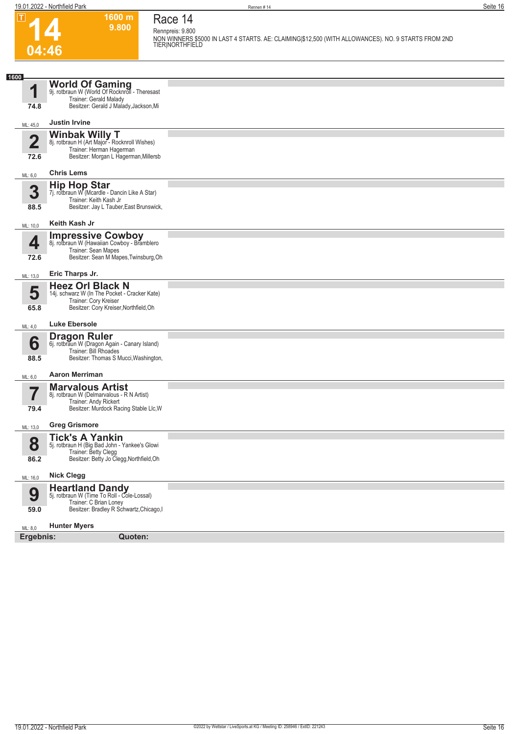**04:46**

 $\boxed{1}$ 



**Race 14 Rennpreis: 9.800**

**1600 m 9.800** 

**NON WINNERS \$5000 IN LAST 4 STARTS. AE: CLAIMING|\$12,500 (WITH ALLOWANCES). NO. 9 STARTS FROM 2ND TIER|NORTHFIELD** 

| 1600                    |                                                                                                                                             |  |  |  |
|-------------------------|---------------------------------------------------------------------------------------------------------------------------------------------|--|--|--|
| 4                       | <b>World Of Gaming</b><br>9j. rotbraun W (World Of Rocknroll - Theresast<br>Trainer: Gerald Malady                                          |  |  |  |
| 74.8                    | Besitzer: Gerald J Malady, Jackson, Mi                                                                                                      |  |  |  |
| ML: 45,0                | <b>Justin Irvine</b>                                                                                                                        |  |  |  |
| $\overline{\mathbf{2}}$ | Winbak Willy T<br>8j. rotbraun H (Art Major - Rocknroll Wishes)                                                                             |  |  |  |
| 72.6                    | Trainer: Herman Hagerman<br>Besitzer: Morgan L Hagerman, Millersb                                                                           |  |  |  |
| ML: 6,0                 | <b>Chris Lems</b>                                                                                                                           |  |  |  |
|                         | <b>Hip Hop Star</b>                                                                                                                         |  |  |  |
| 3                       | 7j. rotbraun W (Mcardle - Dancin Like A Star)<br>Trainer: Keith Kash Jr                                                                     |  |  |  |
| 88.5                    | Besitzer: Jay L Tauber, East Brunswick,                                                                                                     |  |  |  |
| ML: 10,0                | Keith Kash Jr                                                                                                                               |  |  |  |
| 4                       | <b>Impressive Cowboy</b><br>8j. rotbraun W (Hawaiian Cowboy - Bramblero                                                                     |  |  |  |
| 72.6                    | Trainer: Sean Mapes<br>Besitzer: Sean M Mapes, Twinsburg, Oh                                                                                |  |  |  |
| ML: 13,0                | Eric Tharps Jr.                                                                                                                             |  |  |  |
| 5                       | <b>Heez Orl Black N</b><br>14j. schwarz W (In The Pocket - Cracker Kate)                                                                    |  |  |  |
| 65.8                    | Trainer: Cory Kreiser<br>Besitzer: Cory Kreiser, Northfield, Oh                                                                             |  |  |  |
|                         | <b>Luke Ebersole</b>                                                                                                                        |  |  |  |
| ML: 4,0                 |                                                                                                                                             |  |  |  |
| 6                       | <b>Dragon Ruler</b><br>6j. rotbraun W (Dragon Again - Canary Island)<br>Trainer: Bill Rhoades                                               |  |  |  |
| 88.5                    | Besitzer: Thomas S Mucci, Washington,                                                                                                       |  |  |  |
| ML: 6,0                 | <b>Aaron Merriman</b>                                                                                                                       |  |  |  |
|                         | <b>Marvalous Artist</b><br>8j. rotbraun W (Delmarvalous - R N Artist)                                                                       |  |  |  |
| 79.4                    | Trainer: Andy Rickert<br>Besitzer: Murdock Racing Stable Llc, W                                                                             |  |  |  |
| ML: 13,0                | <b>Greg Grismore</b>                                                                                                                        |  |  |  |
| 8                       | <b>Tick's A Yankin</b><br>5j. rotbraun H (Big Bad John - Yankee's Glowi                                                                     |  |  |  |
| 86.2                    | Trainer: Betty Clegg<br>Besitzer: Betty Jo Clegg, Northfield, Oh                                                                            |  |  |  |
|                         | <b>Nick Clegg</b>                                                                                                                           |  |  |  |
| ML: 16,0                |                                                                                                                                             |  |  |  |
| 9<br>59.0               | <b>Heartland Dandy</b><br>5j. rotbraun W (Time To Roll - Cole-Lossal)<br>Trainer: C Brian Loney<br>Besitzer: Bradley R Schwartz, Chicago, I |  |  |  |
| ML: 8,0                 | <b>Hunter Myers</b>                                                                                                                         |  |  |  |
|                         | Ergebnis:<br>Quoten:                                                                                                                        |  |  |  |
|                         |                                                                                                                                             |  |  |  |